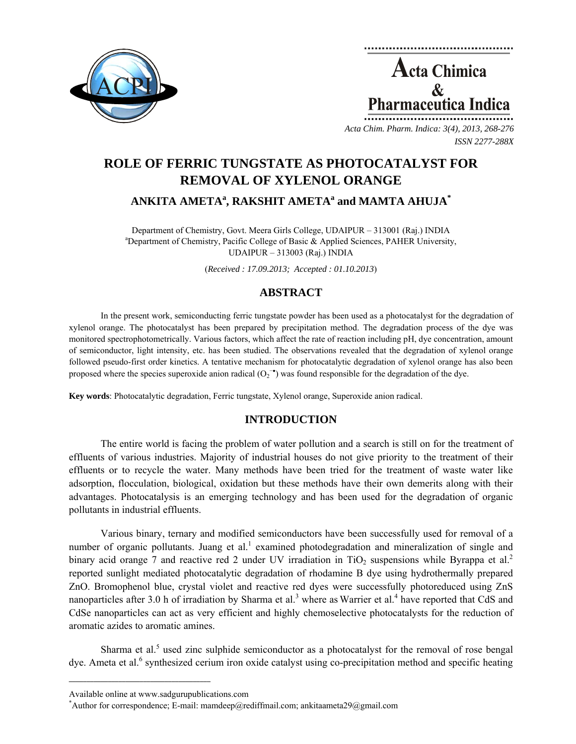

**Acta Chimica**  $\mathcal{R}_{\mathcal{L}}$ **Pharmaceutica Indica** 

*Acta Chim. Pharm. Indica: 3(4), 2013, 268-276 ISSN 2277-288X*

# **ROLE OF FERRIC TUNGSTATE AS PHOTOCATALYST FOR REMOVAL OF XYLENOL ORANGE**

## $\bold{A}\bold{N}\bold{K}\bold{T}\bold{A}$   $\bold{A}\bold{M}\bold{E}\bold{T}\bold{A}^{a}$ ,  $\bold{R}\bold{A}\bold{K}\bold{S}\bold{H}\bold{T}\bold{A}$   $\bold{M}\bold{E}\bold{T}\bold{A}^{a}$  and  $\bold{M}\bold{A}\bold{M}\bold{T}\bold{A}$   $\bold{A}\bold{H}\bold{U}\bold{J}\bold{A}^{*}$

Department of Chemistry, Govt. Meera Girls College, UDAIPUR – 313001 (Raj.) INDIA <sup>a</sup>Department of Chemistry, Pacific College of Basic & Applied Sciences, PAHER University, UDAIPUR – 313003 (Raj.) INDIA

(*Received : 17.09.2013; Accepted : 01.10.2013*)

## **ABSTRACT**

In the present work, semiconducting ferric tungstate powder has been used as a photocatalyst for the degradation of xylenol orange. The photocatalyst has been prepared by precipitation method. The degradation process of the dye was monitored spectrophotometrically. Various factors, which affect the rate of reaction including pH, dye concentration, amount of semiconductor, light intensity, etc. has been studied. The observations revealed that the degradation of xylenol orange followed pseudo-first order kinetics. A tentative mechanism for photocatalytic degradation of xylenol orange has also been proposed where the species superoxide anion radical  $(O_2^{-\bullet})$  was found responsible for the degradation of the dye.

**Key words**: Photocatalytic degradation, Ferric tungstate, Xylenol orange, Superoxide anion radical.

## **INTRODUCTION**

The entire world is facing the problem of water pollution and a search is still on for the treatment of effluents of various industries. Majority of industrial houses do not give priority to the treatment of their effluents or to recycle the water. Many methods have been tried for the treatment of waste water like adsorption, flocculation, biological, oxidation but these methods have their own demerits along with their advantages. Photocatalysis is an emerging technology and has been used for the degradation of organic pollutants in industrial effluents.

Various binary, ternary and modified semiconductors have been successfully used for removal of a number of organic pollutants. Juang et al.<sup>1</sup> examined photodegradation and mineralization of single and binary acid orange 7 and reactive red 2 under UV irradiation in  $TiO<sub>2</sub>$  suspensions while Byrappa et al.<sup>2</sup> reported sunlight mediated photocatalytic degradation of rhodamine B dye using hydrothermally prepared ZnO. Bromophenol blue, crystal violet and reactive red dyes were successfully photoreduced using ZnS nanoparticles after 3.0 h of irradiation by Sharma et al.<sup>3</sup> where as Warrier et al.<sup>4</sup> have reported that CdS and CdSe nanoparticles can act as very efficient and highly chemoselective photocatalysts for the reduction of aromatic azides to aromatic amines.

Sharma et al.<sup>5</sup> used zinc sulphide semiconductor as a photocatalyst for the removal of rose bengal dye. Ameta et al.<sup>6</sup> synthesized cerium iron oxide catalyst using co-precipitation method and specific heating

**\_\_\_\_\_\_\_\_\_\_\_\_\_\_\_\_\_\_\_\_\_\_\_\_\_\_\_\_\_\_\_\_\_\_\_\_\_\_\_\_**

Available online at www.sadgurupublications.com \*

Author for correspondence; E-mail: mamdeep@rediffmail.com; ankitaameta29@gmail.com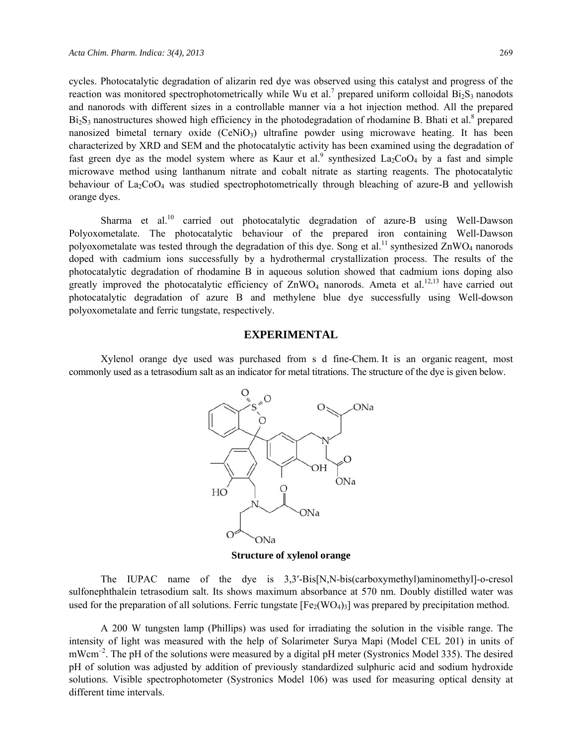cycles. Photocatalytic degradation of alizarin red dye was observed using this catalyst and progress of the reaction was monitored spectrophotometrically while Wu et al.<sup>7</sup> prepared uniform colloidal  $Bi_2S_3$  nanodots and nanorods with different sizes in a controllable manner via a hot injection method. All the prepared  $Bi<sub>2</sub>S<sub>3</sub>$  nanostructures showed high efficiency in the photodegradation of rhodamine B. Bhati et al.<sup>8</sup> prepared nanosized bimetal ternary oxide (CeNiO<sub>3</sub>) ultrafine powder using microwave heating. It has been characterized by XRD and SEM and the photocatalytic activity has been examined using the degradation of fast green dye as the model system where as Kaur et al.<sup>9</sup> synthesized  $La_2CoO_4$  by a fast and simple microwave method using lanthanum nitrate and cobalt nitrate as starting reagents. The photocatalytic behaviour of  $La_2CoO_4$  was studied spectrophotometrically through bleaching of azure-B and yellowish orange dyes.

Sharma et al.<sup>10</sup> carried out photocatalytic degradation of azure-B using Well-Dawson Polyoxometalate. The photocatalytic behaviour of the prepared iron containing Well-Dawson polyoxometalate was tested through the degradation of this dye. Song et al.<sup>11</sup> synthesized  $\rm ZnWO_4$  nanorods doped with cadmium ions successfully by a hydrothermal crystallization process. The results of the photocatalytic degradation of rhodamine B in aqueous solution showed that cadmium ions doping also greatly improved the photocatalytic efficiency of  $\text{ZnWO}_4$  nanorods. Ameta et al.<sup>12,13</sup> have carried out photocatalytic degradation of azure B and methylene blue dye successfully using Well-dowson polyoxometalate and ferric tungstate, respectively.

#### **EXPERIMENTAL**

Xylenol orange dye used was purchased from s d fine-Chem. It is an organic reagent, most commonly used as a tetrasodium salt as an indicator for metal titrations. The structure of the dye is given below.



**Structure of xylenol orange** 

The IUPAC name of the dye is 3,3'-Bis[N,N-bis(carboxymethyl)aminomethyl]-o-cresol sulfonephthalein tetrasodium salt. Its shows maximum absorbance at 570 nm. Doubly distilled water was used for the preparation of all solutions. Ferric tungstate  $[Fe<sub>2</sub>(WO<sub>4</sub>)<sub>3</sub>]$  was prepared by precipitation method.

A 200 W tungsten lamp (Phillips) was used for irradiating the solution in the visible range. The intensity of light was measured with the help of Solarimeter Surya Mapi (Model CEL 201) in units of mWcm<sup>-2</sup>. The pH of the solutions were measured by a digital pH meter (Systronics Model 335). The desired pH of solution was adjusted by addition of previously standardized sulphuric acid and sodium hydroxide solutions. Visible spectrophotometer (Systronics Model 106) was used for measuring optical density at different time intervals.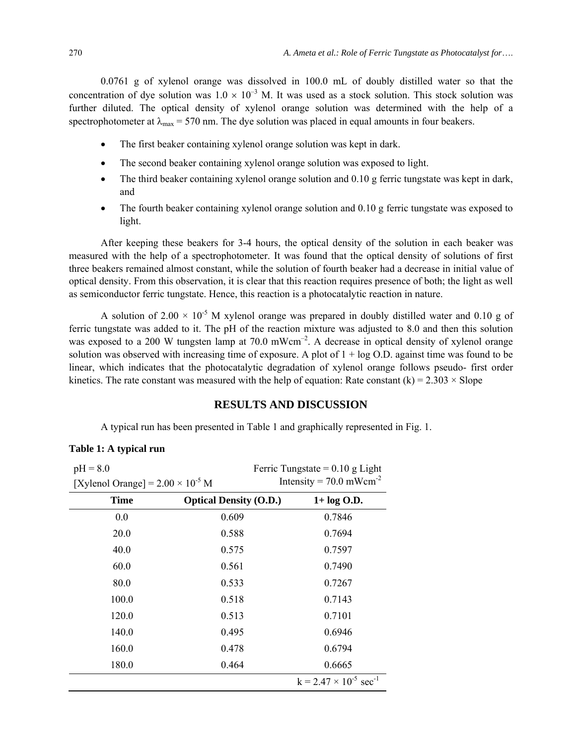0.0761 g of xylenol orange was dissolved in 100.0 mL of doubly distilled water so that the concentration of dye solution was  $1.0 \times 10^{-3}$  M. It was used as a stock solution. This stock solution was further diluted. The optical density of xylenol orange solution was determined with the help of a spectrophotometer at  $\lambda_{\text{max}}$  = 570 nm. The dye solution was placed in equal amounts in four beakers.

- The first beaker containing xylenol orange solution was kept in dark.
- The second beaker containing xylenol orange solution was exposed to light.
- The third beaker containing xylenol orange solution and 0.10 g ferric tungstate was kept in dark, and
- The fourth beaker containing xylenol orange solution and 0.10 g ferric tungstate was exposed to light.

After keeping these beakers for 3-4 hours, the optical density of the solution in each beaker was measured with the help of a spectrophotometer. It was found that the optical density of solutions of first three beakers remained almost constant, while the solution of fourth beaker had a decrease in initial value of optical density. From this observation, it is clear that this reaction requires presence of both; the light as well as semiconductor ferric tungstate. Hence, this reaction is a photocatalytic reaction in nature.

A solution of 2.00  $\times$  10<sup>-5</sup> M xylenol orange was prepared in doubly distilled water and 0.10 g of ferric tungstate was added to it. The pH of the reaction mixture was adjusted to 8.0 and then this solution was exposed to a 200 W tungsten lamp at 70.0 mWcm<sup>-2</sup>. A decrease in optical density of xylenol orange solution was observed with increasing time of exposure. A plot of  $1 + \log O$ . against time was found to be linear, which indicates that the photocatalytic degradation of xylenol orange follows pseudo- first order kinetics. The rate constant was measured with the help of equation: Rate constant (k) =  $2.303 \times$  Slope

#### **RESULTS AND DISCUSSION**

A typical run has been presented in Table 1 and graphically represented in Fig. 1.

#### **Table 1: A typical run**

| $pH = 8.0$                                 |                               | Ferric Tungstate = $0.10$ g Light           |
|--------------------------------------------|-------------------------------|---------------------------------------------|
| [Xylenol Orange] = $2.00 \times 10^{-5}$ M |                               | Intensity = $70.0$ mWcm <sup>-2</sup>       |
| Time                                       | <b>Optical Density (O.D.)</b> | $1+ \log O.D.$                              |
| 0.0                                        | 0.609                         | 0.7846                                      |
| 20.0                                       | 0.588                         | 0.7694                                      |
| 40.0                                       | 0.575                         | 0.7597                                      |
| 60.0                                       | 0.561                         | 0.7490                                      |
| 80.0                                       | 0.533                         | 0.7267                                      |
| 100.0                                      | 0.518                         | 0.7143                                      |
| 120.0                                      | 0.513                         | 0.7101                                      |
| 140.0                                      | 0.495                         | 0.6946                                      |
| 160.0                                      | 0.478                         | 0.6794                                      |
| 180.0                                      | 0.464                         | 0.6665                                      |
|                                            |                               | $k = 2.47 \times 10^{-5}$ sec <sup>-1</sup> |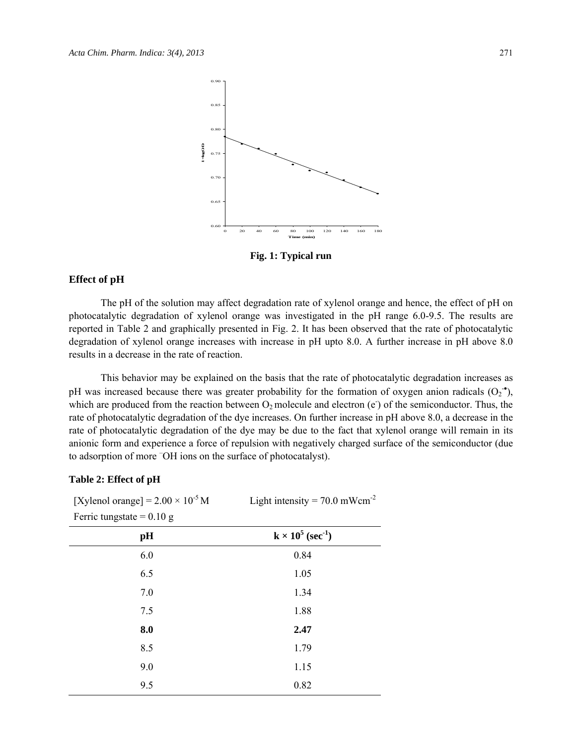

**Fig. 1: Typical run** 

#### **Effect of pH**

The pH of the solution may affect degradation rate of xylenol orange and hence, the effect of pH on photocatalytic degradation of xylenol orange was investigated in the pH range 6.0-9.5. The results are reported in Table 2 and graphically presented in Fig. 2. It has been observed that the rate of photocatalytic degradation of xylenol orange increases with increase in pH upto 8.0. A further increase in pH above 8.0 results in a decrease in the rate of reaction.

This behavior may be explained on the basis that the rate of photocatalytic degradation increases as pH was increased because there was greater probability for the formation of oxygen anion radicals  $(O_2^{\bullet})$ , which are produced from the reaction between  $O_2$  molecule and electron (e<sup>-</sup>) of the semiconductor. Thus, the rate of photocatalytic degradation of the dye increases. On further increase in pH above 8.0, a decrease in the rate of photocatalytic degradation of the dye may be due to the fact that xylenol orange will remain in its anionic form and experience a force of repulsion with negatively charged surface of the semiconductor (due to adsorption of more – OH ions on the surface of photocatalyst).

#### **Table 2: Effect of pH**

| [Xylenol orange] = $2.00 \times 10^{-5}$ M | Light intensity = $70.0$ mWcm <sup>-2</sup> |
|--------------------------------------------|---------------------------------------------|
| Ferric tungstate = $0.10$ g                |                                             |
| pН                                         | $k \times 10^5$ (sec <sup>-1</sup> )        |
| 6.0                                        | 0.84                                        |
| 6.5                                        | 1.05                                        |
| 7.0                                        | 1.34                                        |
| 7.5                                        | 1.88                                        |
| 8.0                                        | 2.47                                        |
| 8.5                                        | 1.79                                        |
| 9.0                                        | 1.15                                        |
| 9.5                                        | 0.82                                        |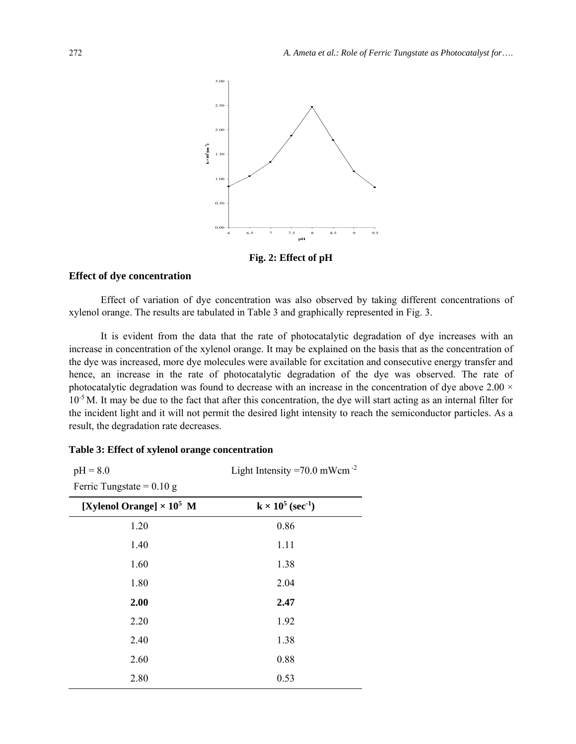

**Fig. 2: Effect of pH** 

#### **Effect of dye concentration**

Effect of variation of dye concentration was also observed by taking different concentrations of xylenol orange. The results are tabulated in Table 3 and graphically represented in Fig. 3.

It is evident from the data that the rate of photocatalytic degradation of dye increases with an increase in concentration of the xylenol orange. It may be explained on the basis that as the concentration of the dye was increased, more dye molecules were available for excitation and consecutive energy transfer and hence, an increase in the rate of photocatalytic degradation of the dye was observed. The rate of photocatalytic degradation was found to decrease with an increase in the concentration of dye above  $2.00 \times$  $10^{-5}$  M. It may be due to the fact that after this concentration, the dye will start acting as an internal filter for the incident light and it will not permit the desired light intensity to reach the semiconductor particles. As a result, the degradation rate decreases.

#### **Table 3: Effect of xylenol orange concentration**

 $pH = 8.0$ 

Light Intensity  $=70.0$  mWcm<sup>-2</sup>

Ferric Tungstate =  $0.10$  g

| [Xylenol Orange] $\times 10^5$ M | $k \times 10^5$ (sec <sup>-1</sup> ) |
|----------------------------------|--------------------------------------|
| 1.20                             | 0.86                                 |
| 1.40                             | 1.11                                 |
| 1.60                             | 1.38                                 |
| 1.80                             | 2.04                                 |
| 2.00                             | 2.47                                 |
| 2.20                             | 1.92                                 |
| 2.40                             | 1.38                                 |
| 2.60                             | 0.88                                 |
| 2.80                             | 0.53                                 |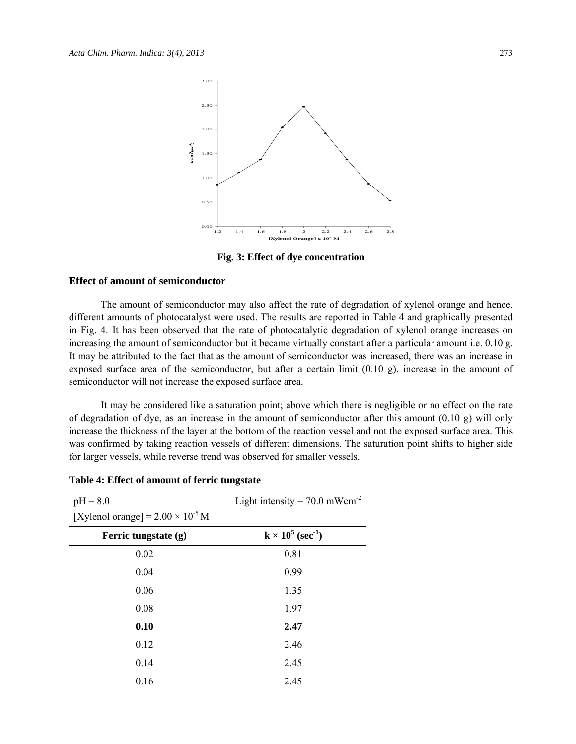

**Fig. 3: Effect of dye concentration**

#### **Effect of amount of semiconductor**

The amount of semiconductor may also affect the rate of degradation of xylenol orange and hence, different amounts of photocatalyst were used. The results are reported in Table 4 and graphically presented in Fig. 4. It has been observed that the rate of photocatalytic degradation of xylenol orange increases on increasing the amount of semiconductor but it became virtually constant after a particular amount i.e. 0.10 g. It may be attributed to the fact that as the amount of semiconductor was increased, there was an increase in exposed surface area of the semiconductor, but after a certain limit (0.10 g), increase in the amount of semiconductor will not increase the exposed surface area.

It may be considered like a saturation point; above which there is negligible or no effect on the rate of degradation of dye, as an increase in the amount of semiconductor after this amount (0.10 g) will only increase the thickness of the layer at the bottom of the reaction vessel and not the exposed surface area. This was confirmed by taking reaction vessels of different dimensions. The saturation point shifts to higher side for larger vessels, while reverse trend was observed for smaller vessels.

| $pH = 8.0$                                 | Light intensity = $70.0$ mWcm <sup>-2</sup> |
|--------------------------------------------|---------------------------------------------|
| [Xylenol orange] = $2.00 \times 10^{-5}$ M |                                             |
| Ferric tungstate (g)                       | $k \times 10^5$ (sec <sup>-1</sup> )        |
| 0.02                                       | 0.81                                        |
| 0.04                                       | 0.99                                        |
| 0.06                                       | 1.35                                        |
| 0.08                                       | 1.97                                        |
| 0.10                                       | 2.47                                        |
| 0.12                                       | 2.46                                        |
| 0.14                                       | 2.45                                        |
| 0.16                                       | 2.45                                        |

**Table 4: Effect of amount of ferric tungstate**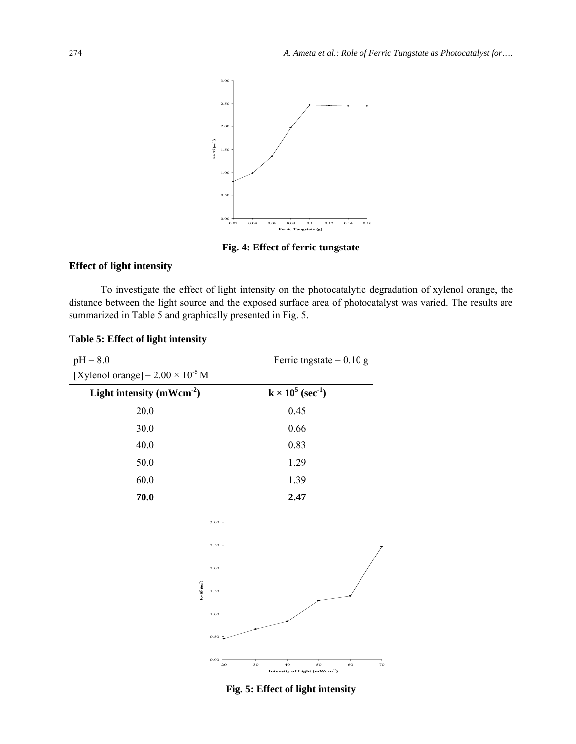

**Fig. 4: Effect of ferric tungstate**

#### **Effect of light intensity**

To investigate the effect of light intensity on the photocatalytic degradation of xylenol orange, the distance between the light source and the exposed surface area of photocatalyst was varied. The results are summarized in Table 5 and graphically presented in Fig. 5.

| $pH = 8.0$                                 | Ferric tngstate = $0.10$ g           |
|--------------------------------------------|--------------------------------------|
| [Xylenol orange] = $2.00 \times 10^{-5}$ M |                                      |
| Light intensity (mWcm <sup>-2</sup> )      | $k \times 10^5$ (sec <sup>-1</sup> ) |
| 20.0                                       | 0.45                                 |
| 30.0                                       | 0.66                                 |
| 40.0                                       | 0.83                                 |
| 50.0                                       | 1.29                                 |
| 60.0                                       | 1.39                                 |
| 70.0                                       | 2.47                                 |
|                                            |                                      |
| 3.00                                       |                                      |
| 2.50                                       |                                      |
|                                            |                                      |

**Table 5: Effect of light intensity**



**Fig. 5: Effect of light intensity**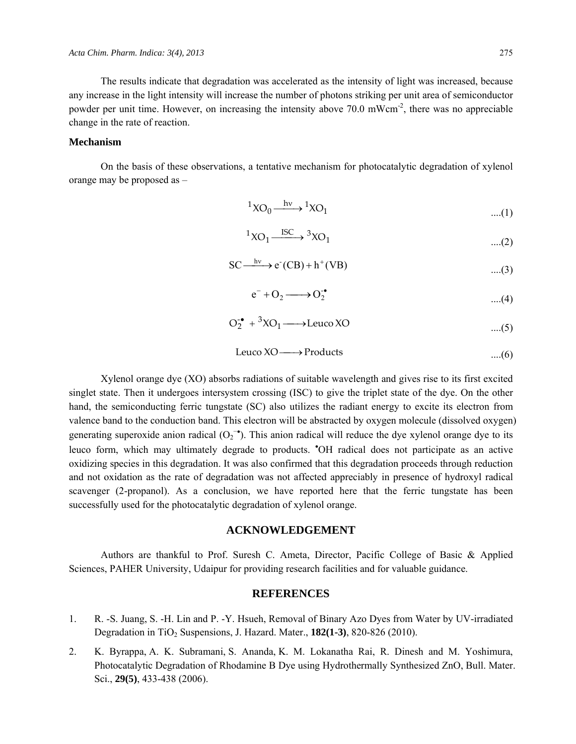The results indicate that degradation was accelerated as the intensity of light was increased, because any increase in the light intensity will increase the number of photons striking per unit area of semiconductor powder per unit time. However, on increasing the intensity above 70.0 mWcm<sup>-2</sup>, there was no appreciable change in the rate of reaction.

#### **Mechanism**

On the basis of these observations, a tentative mechanism for photocatalytic degradation of xylenol orange may be proposed as –

$$
{}^{1}XO_{0} \xrightarrow{\quad h\nu\quad {}^{1}XO_{1}} XO_{1} \qquad \qquad \dots (1)
$$

$$
{}^{1}XO_{1} \xrightarrow{ISC} {}^{3}XO_{1} \qquad \qquad \dots (2)
$$

$$
SC \xrightarrow{hv} e^{r}(CB) + h^{+}(VB)
$$
 ....(3)

$$
e^- + O_2 \longrightarrow O_2^{\bullet}
$$
 ....(4)

$$
O_2^{\bullet} + {}^3XO_1 \longrightarrow \text{Leuco XO} \tag{5}
$$

$$
Leuco XO \longrightarrow Products
$$
...(6)

Xylenol orange dye (XO) absorbs radiations of suitable wavelength and gives rise to its first excited singlet state. Then it undergoes intersystem crossing (ISC) to give the triplet state of the dye. On the other hand, the semiconducting ferric tungstate (SC) also utilizes the radiant energy to excite its electron from valence band to the conduction band. This electron will be abstracted by oxygen molecule (dissolved oxygen) generating superoxide anion radical  $(O_2^{\bullet})$ . This anion radical will reduce the dye xylenol orange dye to its leuco form, which may ultimately degrade to products. 'OH radical does not participate as an active oxidizing species in this degradation. It was also confirmed that this degradation proceeds through reduction and not oxidation as the rate of degradation was not affected appreciably in presence of hydroxyl radical scavenger (2-propanol). As a conclusion, we have reported here that the ferric tungstate has been successfully used for the photocatalytic degradation of xylenol orange.

#### **ACKNOWLEDGEMENT**

Authors are thankful to Prof. Suresh C. Ameta, Director, Pacific College of Basic & Applied Sciences, PAHER University, Udaipur for providing research facilities and for valuable guidance.

#### **REFERENCES**

- 1. R. -S. Juang, S. -H. Lin and P. -Y. Hsueh, Removal of Binary Azo Dyes from Water by UV-irradiated Degradation in TiO<sub>2</sub> Suspensions, J. Hazard. Mater., **182(1-3)**, 820-826 (2010).
- 2. K. Byrappa, A. K. Subramani, S. Ananda, K. M. Lokanatha Rai, R. Dinesh and M. Yoshimura, Photocatalytic Degradation of Rhodamine B Dye using Hydrothermally Synthesized ZnO, Bull. Mater. Sci., **29(5)**, 433-438 (2006).